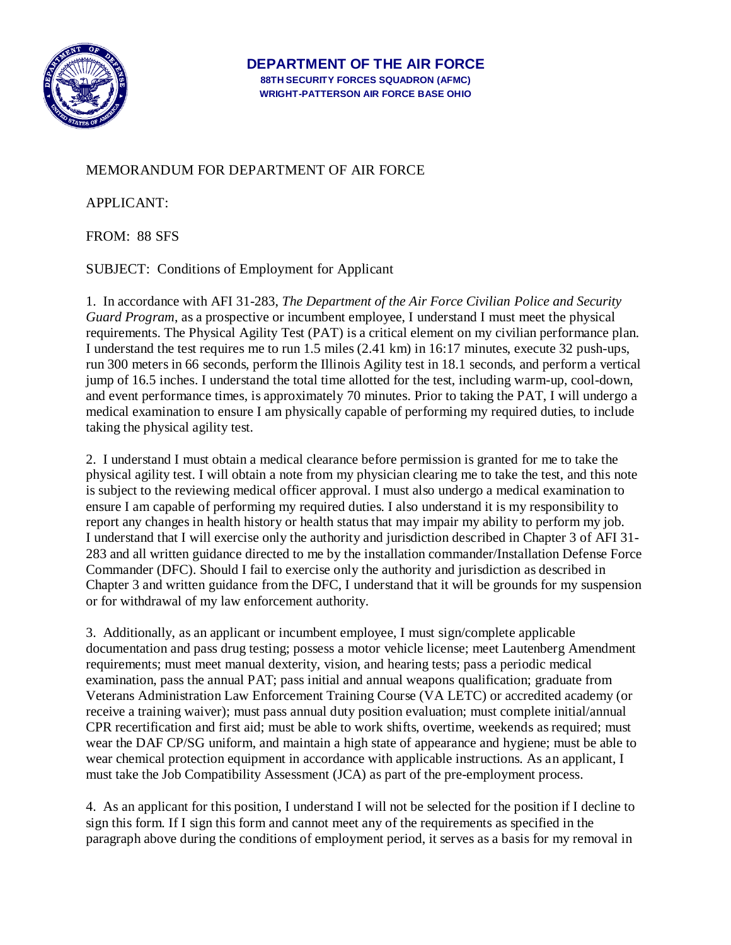

## MEMORANDUM FOR DEPARTMENT OF AIR FORCE

APPLICANT:

FROM: 88 SFS

SUBJECT: Conditions of Employment for Applicant

1. In accordance with AFI 31-283, *The Department of the Air Force Civilian Police and Security Guard Program*, as a prospective or incumbent employee, I understand I must meet the physical requirements. The Physical Agility Test (PAT) is a critical element on my civilian performance plan. I understand the test requires me to run 1.5 miles (2.41 km) in 16:17 minutes, execute 32 push-ups, run 300 meters in 66 seconds, perform the Illinois Agility test in 18.1 seconds, and perform a vertical jump of 16.5 inches. I understand the total time allotted for the test, including warm-up, cool-down, and event performance times, is approximately 70 minutes. Prior to taking the PAT, I will undergo a medical examination to ensure I am physically capable of performing my required duties, to include taking the physical agility test.

2. I understand I must obtain a medical clearance before permission is granted for me to take the physical agility test. I will obtain a note from my physician clearing me to take the test, and this note is subject to the reviewing medical officer approval. I must also undergo a medical examination to ensure I am capable of performing my required duties. I also understand it is my responsibility to report any changes in health history or health status that may impair my ability to perform my job. I understand that I will exercise only the authority and jurisdiction described in Chapter 3 of AFI 31- 283 and all written guidance directed to me by the installation commander/Installation Defense Force Commander (DFC). Should I fail to exercise only the authority and jurisdiction as described in Chapter 3 and written guidance from the DFC, I understand that it will be grounds for my suspension or for withdrawal of my law enforcement authority.

3. Additionally, as an applicant or incumbent employee, I must sign/complete applicable documentation and pass drug testing; possess a motor vehicle license; meet Lautenberg Amendment requirements; must meet manual dexterity, vision, and hearing tests; pass a periodic medical examination, pass the annual PAT; pass initial and annual weapons qualification; graduate from Veterans Administration Law Enforcement Training Course (VA LETC) or accredited academy (or receive a training waiver); must pass annual duty position evaluation; must complete initial/annual CPR recertification and first aid; must be able to work shifts, overtime, weekends as required; must wear the DAF CP/SG uniform, and maintain a high state of appearance and hygiene; must be able to wear chemical protection equipment in accordance with applicable instructions. As an applicant, I must take the Job Compatibility Assessment (JCA) as part of the pre-employment process.

4. As an applicant for this position, I understand I will not be selected for the position if I decline to sign this form. If I sign this form and cannot meet any of the requirements as specified in the paragraph above during the conditions of employment period, it serves as a basis for my removal in